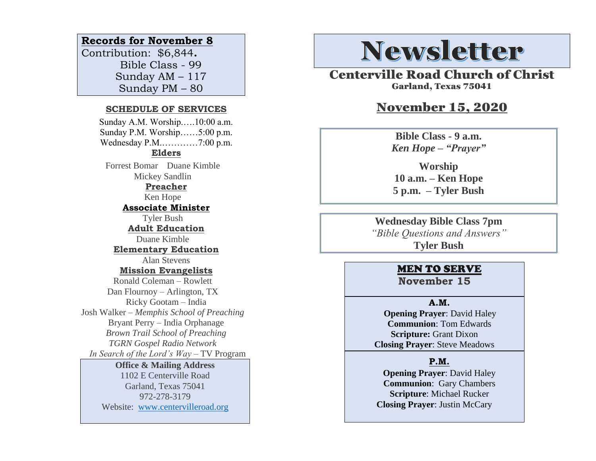### **Records for November 8**

Contribution: \$6,844**.** Bible Class - 99 Sunday AM – 117 Sunday PM – 80

#### **SCHEDULE OF SERVICES**

 Sunday A.M. Worship.….10:00 a.m. Sunday P.M. Worship……5:00 p.m. Wednesday P.M.…………7:00 p.m. **Elders** Forrest Bomar Duane Kimble Mickey Sandlin **Preacher** Ken Hope **Associate Minister** Tyler Bush **Adult Education** Duane Kimble **Elementary Education** Alan Stevens **Mission Evangelists** Ronald Coleman – Rowlett Dan Flournoy – Arlington, TX Ricky Gootam – India Josh Walker – *Memphis School of Preaching* Bryant Perry – India Orphanage *Brown Trail School of Preaching TGRN Gospel Radio Network In Search of the Lord's Way* – TV Program **Office & Mailing Address**

# 1102 E Centerville Road

Garland, Texas 75041 972-278-3179 Website: [www.centervilleroad.org](https://d.docs.live.net/97e199c461b763eb/Newsletter/News%202020/August%202020/www.centervilleroad.org)

# **Newsletter**

Centerville Road Church of Christ Garland, Texas 75041

# November 15, 2020

**Bible Class - 9 a.m.** *Ken Hope – "Prayer"*

**Worship 10 a.m. – Ken Hope 5 p.m. – Tyler Bush**

**Wednesday Bible Class 7pm** *"Bible Questions and Answers"* **Tyler Bush**

## MEN TO SERVE

**November 15**

#### **A.M.**

 **Opening Prayer**: David Haley **Communion**: Tom Edwards **Scripture:** Grant Dixon **Closing Prayer**: Steve Meadows

#### **P.M.**

**Opening Prayer**: David Haley **Communion**: Gary Chambers **Scripture**: Michael Rucker **Closing Prayer**: Justin McCary